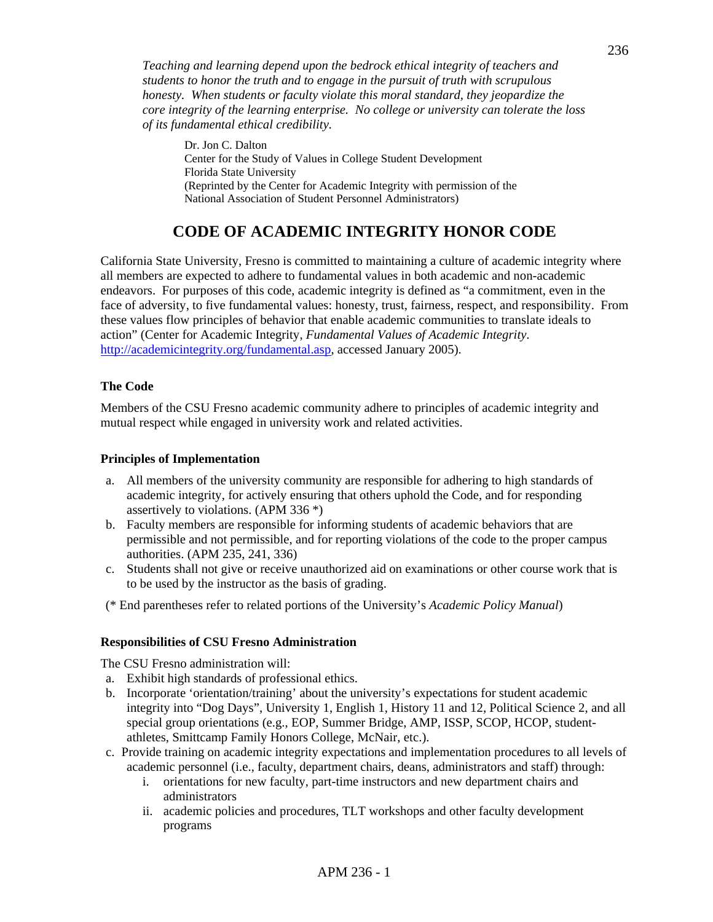*Teaching and learning depend upon the bedrock ethical integrity of teachers and students to honor the truth and to engage in the pursuit of truth with scrupulous honesty. When students or faculty violate this moral standard, they jeopardize the core integrity of the learning enterprise. No college or university can tolerate the loss of its fundamental ethical credibility.* 

Dr. Jon C. Dalton Center for the Study of Values in College Student Development Florida State University (Reprinted by the Center for Academic Integrity with permission of the National Association of Student Personnel Administrators)

# **CODE OF ACADEMIC INTEGRITY HONOR CODE**

California State University, Fresno is committed to maintaining a culture of academic integrity where all members are expected to adhere to fundamental values in both academic and non-academic endeavors. For purposes of this code, academic integrity is defined as "a commitment, even in the face of adversity, to five fundamental values: honesty, trust, fairness, respect, and responsibility. From these values flow principles of behavior that enable academic communities to translate ideals to action" (Center for Academic Integrity, *Fundamental Values of Academic Integrity*. http://academicintegrity.org/fundamental.asp, accessed January 2005).

#### **The Code**

Members of the CSU Fresno academic community adhere to principles of academic integrity and mutual respect while engaged in university work and related activities.

#### **Principles of Implementation**

- a. All members of the university community are responsible for adhering to high standards of academic integrity, for actively ensuring that others uphold the Code, and for responding assertively to violations. (APM 336 \*)
- b. Faculty members are responsible for informing students of academic behaviors that are permissible and not permissible, and for reporting violations of the code to the proper campus authorities. (APM 235, 241, 336)
- c. Students shall not give or receive unauthorized aid on examinations or other course work that is to be used by the instructor as the basis of grading.
- (\* End parentheses refer to related portions of the University's *Academic Policy Manual*)

#### **Responsibilities of CSU Fresno Administration**

The CSU Fresno administration will:

- a. Exhibit high standards of professional ethics.
- b. Incorporate 'orientation/training' about the university's expectations for student academic integrity into "Dog Days", University 1, English 1, History 11 and 12, Political Science 2, and all special group orientations (e.g., EOP, Summer Bridge, AMP, ISSP, SCOP, HCOP, studentathletes, Smittcamp Family Honors College, McNair, etc.).
- c. Provide training on academic integrity expectations and implementation procedures to all levels of academic personnel (i.e., faculty, department chairs, deans, administrators and staff) through:
	- i. orientations for new faculty, part-time instructors and new department chairs and administrators
	- ii. academic policies and procedures, TLT workshops and other faculty development programs